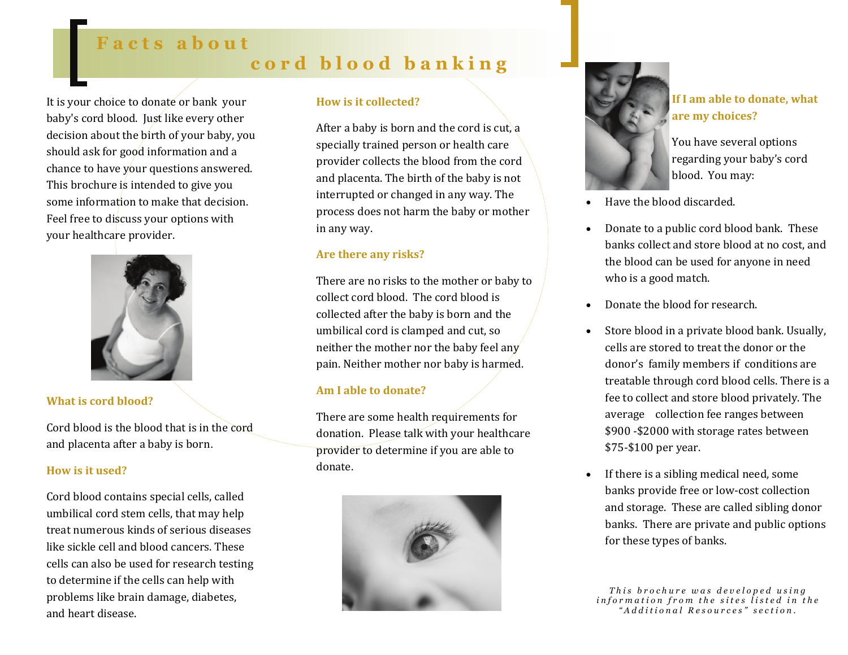# **Facts about cord blood banking**

It is your choice to donate or bank your baby's cord blood. Just like every other decision about the birth of your baby, you should ask for good information and a chance to have your questions answered. This brochure is intended to give you some information to make that decision. Feel free to discuss your options with your healthcare provider.



# **What is cord blood?**

Cord blood is the blood that is in the cordand placenta after a baby is born.

### **How is it used?**

Cord blood contains special cells, called umbilical cord stem cells, that may help treat numerous kinds of serious diseases like sickle cell and blood cancers. These cells can also be used for research testing to determine if the cells can help with problems like brain damage, diabetes, and heart disease.

### **How is it collected?**

After a baby is born and the cord is cut, a specially trained person or health care provider collects the blood from the cord and placenta. The birth of the baby is not interrupted or changed in any way. The process does not harm the baby or mother in any way.

# **Are there any risks?**

There are no risks to the mother or baby to collect cord blood. The cord blood is collected after the baby is born and the umbilical cord is clamped and cut, so neither the mother nor the baby feel any pain. Neither mother nor baby is harmed.

### **Am I able to donate?**

There are some health requirements for donation. Please talk with your healthcare provider to determine if you are able to donate.





**If I am able to donate, what are my choices?**

You have several options regarding your baby's cord blood. You may:

- Have the blood discarded.
- Donate to a public cord blood bank. These banks collect and store blood at no cost, and the blood can be used for anyone in need who is a good match.
- Donate the blood for research.
- Store blood in a private blood bank. Usually, cells are stored to treat the donor or the donor's family members if conditions are treatable through cord blood cells. There is a fee to collect and store blood privately. The average collection fee ranges between \$900 ‐\$2000 with storage rates between \$75‐\$100 per year.
- If there is a sibling medical need, some banks provide free or low‐cost collection and storage. These are called sibling donor banks. There are private and public options for these types of banks.

*This brochure was developed using information from the sites listed in the "Additional Resources" section.*